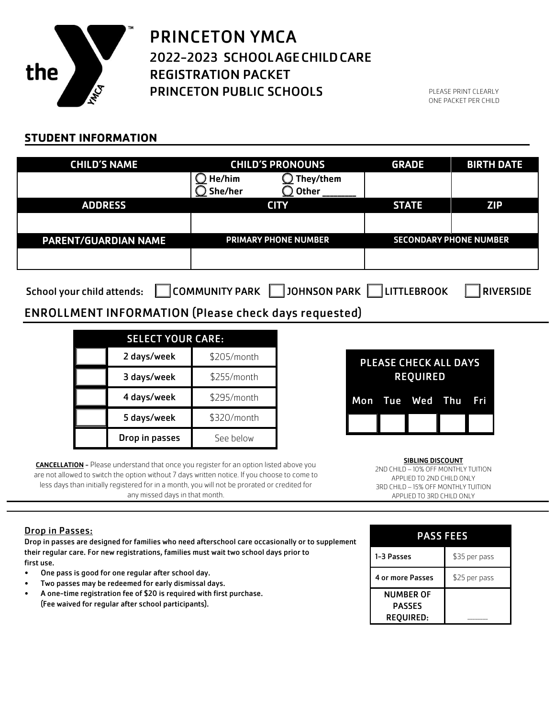

### PRINCETON YMCA 2022-2023 SCHOOLAGECHILDCARE REGISTRATION PACKET PRINCETON PUBLIC SCHOOLS

PLEASE PRINT CLEARLY ONE PACKET PER CHILD

### **STUDENT INFORMATION**

| <b>CHILD'S NAME</b>                                                                                                         | <b>CHILD'S PRONOUNS</b>     | <b>GRADE</b>                  | <b>BIRTH DATE</b> |  |
|-----------------------------------------------------------------------------------------------------------------------------|-----------------------------|-------------------------------|-------------------|--|
|                                                                                                                             | He/him<br>They/them         |                               |                   |  |
|                                                                                                                             | She/her<br>) Other          |                               |                   |  |
| <b>ADDRESS</b>                                                                                                              | <b>CITY</b>                 | <b>STATE</b>                  | <b>ZIP</b>        |  |
|                                                                                                                             |                             |                               |                   |  |
| <b>PARENT/GUARDIAN NAME</b>                                                                                                 | <b>PRIMARY PHONE NUMBER</b> | <b>SECONDARY PHONE NUMBER</b> |                   |  |
|                                                                                                                             |                             |                               |                   |  |
|                                                                                                                             |                             |                               |                   |  |
| <b>JOHNSON PARK</b><br><b>COMMUNITY PARK</b><br><b>LITTLEBROOK</b><br><b>RIVERSIDE</b><br><b>School your child attends:</b> |                             |                               |                   |  |

### ENROLLMENT INFORMATION (Please check days requested)

| <b>SELECT YOUR CARE:</b> |                |             |
|--------------------------|----------------|-------------|
|                          | 2 days/week    | \$205/month |
|                          | 3 days/week    | \$255/month |
|                          | 4 days/week    | \$295/month |
|                          | 5 days/week    | \$320/month |
|                          | Drop in passes | See below   |

**CANCELLATION** - Please understand that once you register for an option listed above you are not allowed to switch the option without 7 days written notice. If you choose to come to less days than initially registered for in a month, you will not be prorated or credited for any missed days in that month.

# PLEASE CHECK ALL DAYS REQUIRED Mon Tue Wed Thu Fri

SIBLING DISCOUNT 2ND CHILD – 10% OFF MONTHLY TUITION APPLIED TO 2ND CHILD ONLY 3RD CHILD – 15% OFF MONTHLY TUITION APPLIED TO 3RD CHILD ONLY

#### Drop in Passes:

Drop in passes are designed for families who need afterschool care occasionally or to supplement their regular care. For new registrations, families must wait two school days prior to first use.

- One pass is good for one regular after school day.
- Two passes may be redeemed for early dismissal days.
- A one-time registration fee of \$20 is required with first purchase. (Fee waived for regular after school participants).

| <b>PASS FEES</b>                                      |               |  |
|-------------------------------------------------------|---------------|--|
| 1-3 Passes                                            | \$35 per pass |  |
| 4 or more Passes                                      | \$25 per pass |  |
| <b>NUMBER OF</b><br><b>PASSES</b><br><b>REOUIRED:</b> |               |  |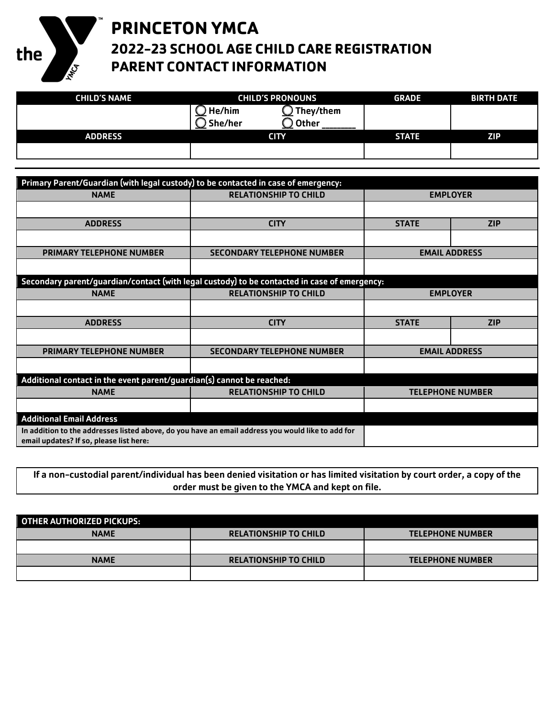

### **PRINCETON YMCA 2022-23 SCHOOL AGE CHILD CARE REGISTRATION PARENT CONTACT INFORMATION**

| <b>CHILD'S NAME</b> | <b>CHILD'S PRONOUNS</b> | <b>GRADE</b> | <b>BIRTH DATE</b> |
|---------------------|-------------------------|--------------|-------------------|
|                     | `They/them<br>He/him    |              |                   |
|                     | Other<br><b>She/her</b> |              |                   |
| <b>ADDRESS</b>      | <b>CITY</b>             | <b>STATE</b> | <b>ZIP</b>        |
|                     |                         |              |                   |

| Primary Parent/Guardian (with legal custody) to be contacted in case of emergency:                                                           |                                                                                              |                 |                         |
|----------------------------------------------------------------------------------------------------------------------------------------------|----------------------------------------------------------------------------------------------|-----------------|-------------------------|
| <b>NAME</b>                                                                                                                                  | <b>RELATIONSHIP TO CHILD</b>                                                                 | <b>EMPLOYER</b> |                         |
|                                                                                                                                              |                                                                                              |                 |                         |
| <b>ADDRESS</b>                                                                                                                               | <b>CITY</b>                                                                                  | <b>STATE</b>    | <b>ZIP</b>              |
|                                                                                                                                              |                                                                                              |                 |                         |
| <b>PRIMARY TELEPHONE NUMBER</b>                                                                                                              | <b>SECONDARY TELEPHONE NUMBER</b>                                                            |                 | <b>EMAIL ADDRESS</b>    |
|                                                                                                                                              |                                                                                              |                 |                         |
|                                                                                                                                              | Secondary parent/guardian/contact (with legal custody) to be contacted in case of emergency: |                 |                         |
| <b>NAME</b>                                                                                                                                  | <b>RELATIONSHIP TO CHILD</b>                                                                 | <b>EMPLOYER</b> |                         |
|                                                                                                                                              |                                                                                              |                 |                         |
| <b>ADDRESS</b>                                                                                                                               | <b>CITY</b>                                                                                  | <b>STATE</b>    | <b>ZIP</b>              |
|                                                                                                                                              |                                                                                              |                 |                         |
| <b>PRIMARY TELEPHONE NUMBER</b>                                                                                                              | <b>SECONDARY TELEPHONE NUMBER</b>                                                            |                 | <b>EMAIL ADDRESS</b>    |
|                                                                                                                                              |                                                                                              |                 |                         |
| Additional contact in the event parent/guardian(s) cannot be reached:                                                                        |                                                                                              |                 |                         |
| <b>NAME</b>                                                                                                                                  | <b>RELATIONSHIP TO CHILD</b>                                                                 |                 | <b>TELEPHONE NUMBER</b> |
|                                                                                                                                              |                                                                                              |                 |                         |
| <b>Additional Email Address</b>                                                                                                              |                                                                                              |                 |                         |
| In addition to the addresses listed above, do you have an email address you would like to add for<br>email updates? If so, please list here: |                                                                                              |                 |                         |

If a non-custodial parent/individual has been denied visitation or has limited visitation by court order, a copy of the order must be given to the YMCA and kept on file.

| OTHER AUTHORIZED PICKUPS: |                              |                         |
|---------------------------|------------------------------|-------------------------|
| <b>NAME</b>               | <b>RELATIONSHIP TO CHILD</b> | <b>TELEPHONE NUMBER</b> |
|                           |                              |                         |
| <b>NAME</b>               | <b>RELATIONSHIP TO CHILD</b> | <b>TELEPHONE NUMBER</b> |
|                           |                              |                         |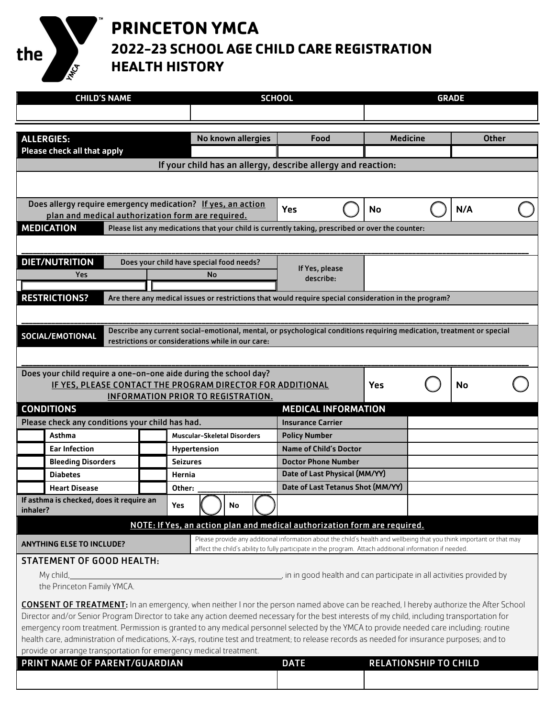# **PRINCETON YMCA**

the

HMA

**2022-23 SCHOOL AGE CHILD CARE REGISTRATION HEALTH HISTORY**

|          | <b>CHILD'S NAME</b>                                                                                                                          |                                                                                                                                                                            | <b>SCHOOL</b>                                                                                                                                                                                                                     |                              | <b>GRADE</b> |              |  |
|----------|----------------------------------------------------------------------------------------------------------------------------------------------|----------------------------------------------------------------------------------------------------------------------------------------------------------------------------|-----------------------------------------------------------------------------------------------------------------------------------------------------------------------------------------------------------------------------------|------------------------------|--------------|--------------|--|
|          |                                                                                                                                              |                                                                                                                                                                            |                                                                                                                                                                                                                                   |                              |              |              |  |
|          |                                                                                                                                              |                                                                                                                                                                            |                                                                                                                                                                                                                                   |                              |              |              |  |
|          | <b>ALLERGIES:</b>                                                                                                                            | No known allergies                                                                                                                                                         | Food                                                                                                                                                                                                                              | <b>Medicine</b>              |              | <b>Other</b> |  |
|          | Please check all that apply                                                                                                                  |                                                                                                                                                                            |                                                                                                                                                                                                                                   |                              |              |              |  |
|          |                                                                                                                                              | If your child has an allergy, describe allergy and reaction:                                                                                                               |                                                                                                                                                                                                                                   |                              |              |              |  |
|          |                                                                                                                                              |                                                                                                                                                                            |                                                                                                                                                                                                                                   |                              |              |              |  |
|          |                                                                                                                                              |                                                                                                                                                                            |                                                                                                                                                                                                                                   |                              |              |              |  |
|          | Does allergy require emergency medication? If yes, an action<br>plan and medical authorization form are required.                            |                                                                                                                                                                            | <b>Yes</b>                                                                                                                                                                                                                        | <b>No</b>                    |              | N/A          |  |
|          | <b>MEDICATION</b>                                                                                                                            | Please list any medications that your child is currently taking, prescribed or over the counter:                                                                           |                                                                                                                                                                                                                                   |                              |              |              |  |
|          |                                                                                                                                              |                                                                                                                                                                            |                                                                                                                                                                                                                                   |                              |              |              |  |
|          | <b>DIET/NUTRITION</b>                                                                                                                        | Does your child have special food needs?                                                                                                                                   |                                                                                                                                                                                                                                   |                              |              |              |  |
|          | Yes                                                                                                                                          | No                                                                                                                                                                         | If Yes, please                                                                                                                                                                                                                    |                              |              |              |  |
|          |                                                                                                                                              |                                                                                                                                                                            | describe:                                                                                                                                                                                                                         |                              |              |              |  |
|          | <b>RESTRICTIONS?</b>                                                                                                                         | Are there any medical issues or restrictions that would require special consideration in the program?                                                                      |                                                                                                                                                                                                                                   |                              |              |              |  |
|          |                                                                                                                                              |                                                                                                                                                                            |                                                                                                                                                                                                                                   |                              |              |              |  |
|          |                                                                                                                                              |                                                                                                                                                                            |                                                                                                                                                                                                                                   |                              |              |              |  |
|          | SOCIAL/EMOTIONAL                                                                                                                             | Describe any current social-emotional, mental, or psychological conditions requiring medication, treatment or special<br>restrictions or considerations while in our care: |                                                                                                                                                                                                                                   |                              |              |              |  |
|          |                                                                                                                                              |                                                                                                                                                                            |                                                                                                                                                                                                                                   |                              |              |              |  |
|          |                                                                                                                                              |                                                                                                                                                                            |                                                                                                                                                                                                                                   |                              |              |              |  |
|          | Does your child require a one-on-one aide during the school day?                                                                             |                                                                                                                                                                            |                                                                                                                                                                                                                                   |                              |              |              |  |
|          |                                                                                                                                              | IF YES, PLEASE CONTACT THE PROGRAM DIRECTOR FOR ADDITIONAL<br>INFORMATION PRIOR TO REGISTRATION.                                                                           |                                                                                                                                                                                                                                   | <b>Yes</b>                   |              | No           |  |
|          | <b>CONDITIONS</b>                                                                                                                            |                                                                                                                                                                            | <b>MEDICAL INFORMATION</b>                                                                                                                                                                                                        |                              |              |              |  |
|          | Please check any conditions your child has had.                                                                                              |                                                                                                                                                                            | <b>Insurance Carrier</b>                                                                                                                                                                                                          |                              |              |              |  |
|          | Asthma                                                                                                                                       | <b>Muscular-Skeletal Disorders</b>                                                                                                                                         | <b>Policy Number</b>                                                                                                                                                                                                              |                              |              |              |  |
|          | <b>Ear Infection</b>                                                                                                                         | <b>Hypertension</b>                                                                                                                                                        | Name of Child's Doctor                                                                                                                                                                                                            |                              |              |              |  |
|          | <b>Bleeding Disorders</b>                                                                                                                    | <b>Seizures</b>                                                                                                                                                            | <b>Doctor Phone Number</b>                                                                                                                                                                                                        |                              |              |              |  |
|          | <b>Diabetes</b>                                                                                                                              | Hernia                                                                                                                                                                     | Date of Last Physical (MM/YY)                                                                                                                                                                                                     |                              |              |              |  |
|          | <b>Heart Disease</b>                                                                                                                         | Other:                                                                                                                                                                     | Date of Last Tetanus Shot (MM/YY)                                                                                                                                                                                                 |                              |              |              |  |
|          | If asthma is checked, does it require an                                                                                                     | Yes<br>No                                                                                                                                                                  |                                                                                                                                                                                                                                   |                              |              |              |  |
| inhaler? |                                                                                                                                              |                                                                                                                                                                            |                                                                                                                                                                                                                                   |                              |              |              |  |
|          |                                                                                                                                              | NOTE: If Yes, an action plan and medical authorization form are required.                                                                                                  |                                                                                                                                                                                                                                   |                              |              |              |  |
|          | <b>ANYTHING ELSE TO INCLUDE?</b>                                                                                                             |                                                                                                                                                                            | Please provide any additional information about the child's health and wellbeing that you think important or that may<br>affect the child's ability to fully participate in the program. Attach additional information if needed. |                              |              |              |  |
|          | <b>STATEMENT OF GOOD HEALTH:</b>                                                                                                             |                                                                                                                                                                            |                                                                                                                                                                                                                                   |                              |              |              |  |
|          | My child,                                                                                                                                    |                                                                                                                                                                            | , in in good health and can participate in all activities provided by                                                                                                                                                             |                              |              |              |  |
|          | the Princeton Family YMCA.                                                                                                                   |                                                                                                                                                                            |                                                                                                                                                                                                                                   |                              |              |              |  |
|          | <b>CONSENT OF TREATMENT:</b> In an emergency, when neither I nor the person named above can be reached, I hereby authorize the After School  |                                                                                                                                                                            |                                                                                                                                                                                                                                   |                              |              |              |  |
|          | Director and/or Senior Program Director to take any action deemed necessary for the best interests of my child, including transportation for |                                                                                                                                                                            |                                                                                                                                                                                                                                   |                              |              |              |  |
|          | emergency room treatment. Permission is granted to any medical personnel selected by the YMCA to provide needed care including: routine      |                                                                                                                                                                            |                                                                                                                                                                                                                                   |                              |              |              |  |
|          | health care, administration of medications, X-rays, routine test and treatment; to release records as needed for insurance purposes; and to  |                                                                                                                                                                            |                                                                                                                                                                                                                                   |                              |              |              |  |
|          | provide or arrange transportation for emergency medical treatment.                                                                           |                                                                                                                                                                            |                                                                                                                                                                                                                                   |                              |              |              |  |
|          | PRINT NAME OF PARENT/GUARDIAN                                                                                                                |                                                                                                                                                                            | <b>DATE</b>                                                                                                                                                                                                                       | <b>RELATIONSHIP TO CHILD</b> |              |              |  |
|          |                                                                                                                                              |                                                                                                                                                                            |                                                                                                                                                                                                                                   |                              |              |              |  |
|          |                                                                                                                                              |                                                                                                                                                                            |                                                                                                                                                                                                                                   |                              |              |              |  |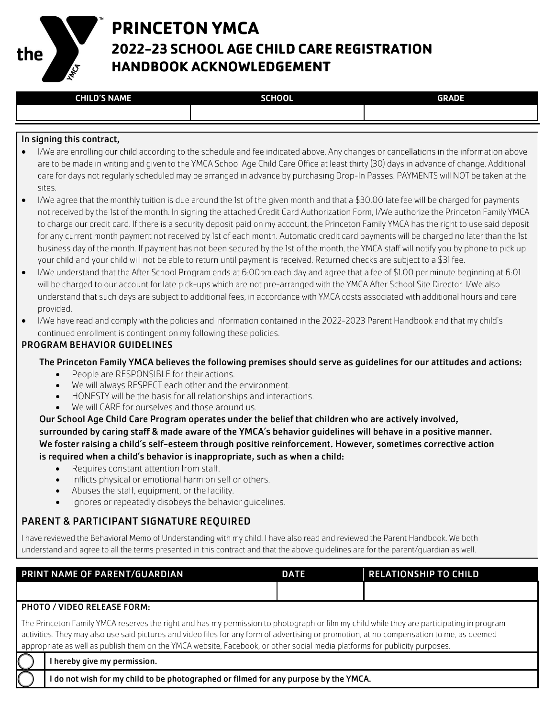

# **PRINCETON YMCA 2022-23 SCHOOL AGE CHILD CARE REGISTRATION HANDBOOK ACKNOWLEDGEMENT**

#### In signing this contract,

- I/We are enrolling our child according to the schedule and fee indicated above. Any changes or cancellations in the information above are to be made in writing and given to the YMCA School Age Child Care Office at least thirty (30) days in advance of change. Additional care for days not regularly scheduled may be arranged in advance by purchasing Drop-In Passes. PAYMENTS will NOT be taken at the sites.
- I/We agree that the monthly tuition is due around the 1st of the given month and that a \$30.00 late fee will be charged for payments not received by the 1st of the month. In signing the attached Credit Card Authorization Form, I/We authorize the Princeton Family YMCA to charge our credit card. If there is a security deposit paid on my account, the Princeton Family YMCA has the right to use said deposit for any current month payment not received by 1st of each month. Automatic credit card payments will be charged no later than the 1st business day of the month. If payment has not been secured by the 1st of the month, the YMCA staff will notify you by phone to pick up your child and your child will not be able to return until payment is received. Returned checks are subject to a \$31 fee.
- I/We understand that the After School Program ends at 6:00pm each day and agree that a fee of \$1.00 per minute beginning at 6:01 will be charged to our account for late pick-ups which are not pre-arranged with the YMCA After School Site Director. I/We also understand that such days are subject to additional fees, in accordance with YMCA costs associated with additional hours and care provided.
- I/We have read and comply with the policies and information contained in the 2022-2023 Parent Handbook and that my child's continued enrollment is contingent on my following these policies.

#### PROGRAM BEHAVIOR GUIDELINES

The Princeton Family YMCA believes the following premises should serve as guidelines for our attitudes and actions:

- People are RESPONSIBLE for their actions.
- We will always RESPECT each other and the environment.
- HONESTY will be the basis for all relationships and interactions.
- We will CARE for ourselves and those around us.

Our School Age Child Care Program operates under the belief that children who are actively involved, surrounded by caring staff & made aware of the YMCA's behavior guidelines will behave in a positive manner. We foster raising a child's self-esteem through positive reinforcement. However, sometimes corrective action is required when a child's behavior is inappropriate, such as when a child:

- Requires constant attention from staff.
- Inflicts physical or emotional harm on self or others.
- Abuses the staff, equipment, or the facility.
- Ignores or repeatedly disobeys the behavior guidelines.

### PARENT & PARTICIPANT SIGNATURE REQUIRED

I have reviewed the Behavioral Memo of Understanding with my child. I have also read and reviewed the Parent Handbook. We both understand and agree to all the terms presented in this contract and that the above guidelines are for the parent/guardian as well.

| <b>PRINT NAME OF PARENT/GUARDIAN</b> | <b>DATE</b> | <b>RELATIONSHIP TO CHILD</b> |
|--------------------------------------|-------------|------------------------------|
|                                      |             |                              |

#### PHOTO / VIDEO RELEASE FORM:

The Princeton Family YMCA reserves the right and has my permission to photograph or film my child while they are participating in program activities. They may also use said pictures and video files for any form of advertising or promotion, at no compensation to me, as deemed appropriate as well as publish them on the YMCA website, Facebook, or other social media platforms for publicity purposes.

I hereby give my permission.

I do not wish for my child to be photographed or filmed for any purpose by the YMCA.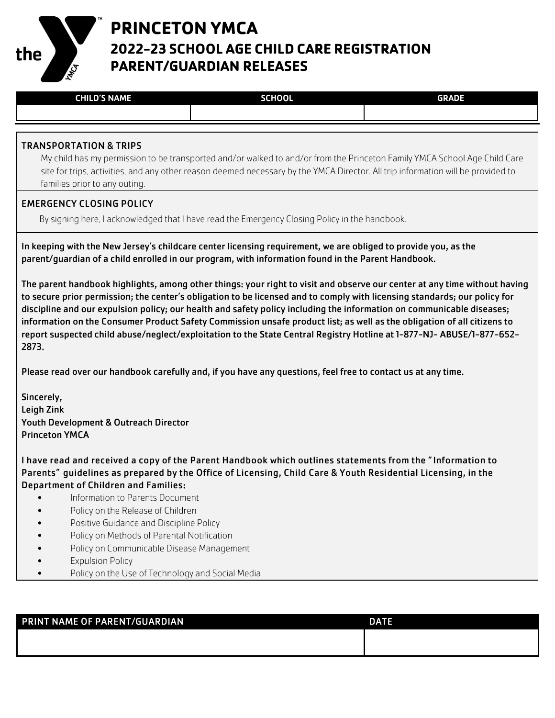

## **PRINCETON YMCA 2022-23 SCHOOL AGE CHILD CARE REGISTRATION PARENT/GUARDIAN RELEASES**

| <b>CHILD'S NAME</b><br>- 1<br>ш | <b>SCHOOL</b><br>50 | <b>GRADE</b> |
|---------------------------------|---------------------|--------------|
|                                 |                     |              |

#### TRANSPORTATION & TRIPS

My child has my permission to be transported and/or walked to and/or from the Princeton Family YMCA School Age Child Care site for trips, activities, and any other reason deemed necessary by the YMCA Director. All trip information will be provided to families prior to any outing.

#### EMERGENCY CLOSING POLICY

By signing here, I acknowledged that I have read the Emergency Closing Policy in the handbook.

In keeping with the New Jersey's childcare center licensing requirement, we are obliged to provide you, as the parent/guardian of a child enrolled in our program, with information found in the Parent Handbook.

The parent handbook highlights, among other things: your right to visit and observe our center at any time without having to secure prior permission; the center's obligation to be licensed and to comply with licensing standards; our policy for discipline and our expulsion policy; our health and safety policy including the information on communicable diseases; information on the Consumer Product Safety Commission unsafe product list; as well as the obligation of all citizens to report suspected child abuse/neglect/exploitation to the State Central Registry Hotline at 1-877-NJ- ABUSE/1-877-652- 2873.

Please read over our handbook carefully and, if you have any questions, feel free to contact us at any time.

Sincerely, Leigh Zink Youth Development & Outreach Director Princeton YMCA

I have read and received a copy of the Parent Handbook which outlines statements from the "Information to Parents" guidelines as prepared by the Office of Licensing, Child Care & Youth Residential Licensing, in the Department of Children and Families:

- Information to Parents Document
- Policy on the Release of Children
- Positive Guidance and Discipline Policy
- Policy on Methods of Parental Notification
- Policy on Communicable Disease Management
- Expulsion Policy
- Policy on the Use of Technology and Social Media

| <b>PRINT NAME OF PARENT/GUARDIAN</b> | <b>DATE</b> |
|--------------------------------------|-------------|
|                                      |             |
|                                      |             |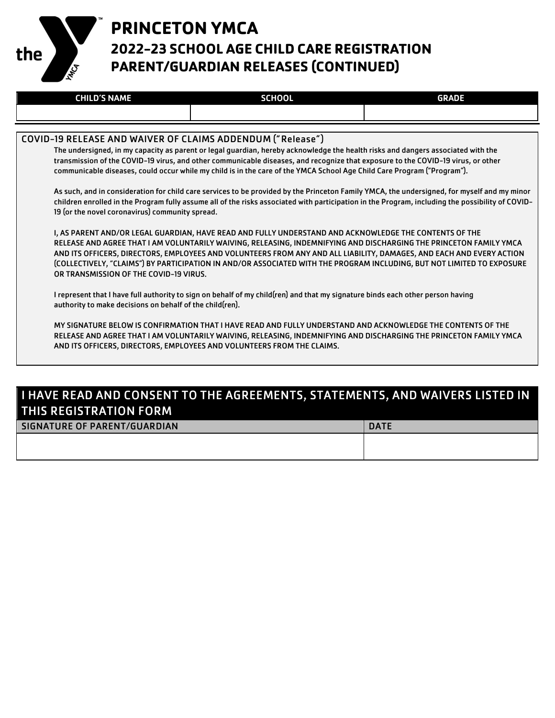

# **PRINCETON YMCA 2022-23 SCHOOL AGE CHILD CARE REGISTRATION PARENT/GUARDIAN RELEASES (CONTINUED)**

| <b>CHILD'S NAME</b> | <b>SCHOOL</b> | <b>GRADE</b> |
|---------------------|---------------|--------------|
|                     |               |              |

#### COVID-19 RELEASE AND WAIVER OF CLAIMS ADDENDUM (" Release" )

The undersigned, in my capacity as parent or legal guardian, hereby acknowledge the health risks and dangers associated with the transmission of the COVID-19 virus, and other communicable diseases, and recognize that exposure to the COVID-19 virus, or other communicable diseases, could occur while my child is in the care of the YMCA School Age Child Care Program ("Program").

As such, and in consideration for child care services to be provided by the Princeton Family YMCA, the undersigned, for myself and my minor children enrolled in the Program fully assume all of the risks associated with participation in the Program, including the possibility of COVID-19 (or the novel coronavirus) community spread.

I, AS PARENT AND/OR LEGAL GUARDIAN, HAVE READ AND FULLY UNDERSTAND AND ACKNOWLEDGE THE CONTENTS OF THE RELEASE AND AGREE THAT I AM VOLUNTARILY WAIVING, RELEASING, INDEMNIFYING AND DISCHARGING THE PRINCETON FAMILY YMCA AND ITS OFFICERS, DIRECTORS, EMPLOYEES AND VOLUNTEERS FROM ANY AND ALL LIABILITY, DAMAGES, AND EACH AND EVERY ACTION (COLLECTIVELY, "CLAIMS") BY PARTICIPATION IN AND/OR ASSOCIATED WITH THE PROGRAM INCLUDING, BUT NOT LIMITED TO EXPOSURE OR TRANSMISSION OF THE COVID-19 VIRUS.

I represent that I have full authority to sign on behalf of my child(ren) and that my signature binds each other person having authority to make decisions on behalf of the child(ren).

MY SIGNATURE BELOW IS CONFIRMATION THAT I HAVE READ AND FULLY UNDERSTAND AND ACKNOWLEDGE THE CONTENTS OF THE RELEASE AND AGREE THAT I AM VOLUNTARILY WAIVING, RELEASING, INDEMNIFYING AND DISCHARGING THE PRINCETON FAMILY YMCA AND ITS OFFICERS, DIRECTORS, EMPLOYEES AND VOLUNTEERS FROM THE CLAIMS.

### I HAVE READ AND CONSENT TO THE AGREEMENTS, STATEMENTS, AND WAIVERS LISTED IN THIS REGISTRATION FORM

| SIGNATURE OF PARENT/GUARDIAN | <b>DATE</b> |
|------------------------------|-------------|
|                              |             |
|                              |             |